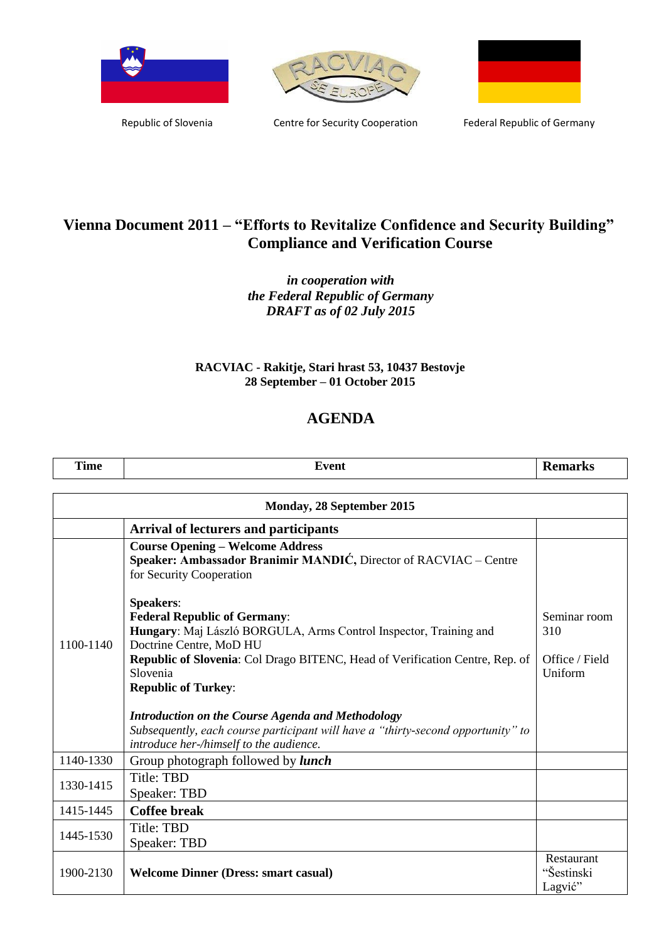





Republic of Slovenia **Centre for Security Cooperation** Federal Republic of Germany

## **Vienna Document 2011 – "Efforts to Revitalize Confidence and Security Building" Compliance and Verification Course**

## *in cooperation with the Federal Republic of Germany DRAFT as of 02 July 2015*

## **RACVIAC - Rakitje, Stari hrast 53, 10437 Bestovje 28 September – 01 October 2015**

## **AGENDA**

| <b>PERMIT</b> | $-1$ | $-170$                             |
|---------------|------|------------------------------------|
| ii waa k      | лп   | . INC                              |
| <b>Time</b>   |      | $\sim$ $\sim$ $\sim$ $\sim$ $\sim$ |

| Monday, 28 September 2015 |                                                                                                                                                                                                                                                                                                                                                                                                                                                                              |                                                  |
|---------------------------|------------------------------------------------------------------------------------------------------------------------------------------------------------------------------------------------------------------------------------------------------------------------------------------------------------------------------------------------------------------------------------------------------------------------------------------------------------------------------|--------------------------------------------------|
|                           | <b>Arrival of lecturers and participants</b>                                                                                                                                                                                                                                                                                                                                                                                                                                 |                                                  |
|                           | <b>Course Opening - Welcome Address</b><br>Speaker: Ambassador Branimir MANDIĆ, Director of RACVIAC – Centre<br>for Security Cooperation                                                                                                                                                                                                                                                                                                                                     |                                                  |
| 1100-1140                 | <b>Speakers:</b><br><b>Federal Republic of Germany:</b><br>Hungary: Maj László BORGULA, Arms Control Inspector, Training and<br>Doctrine Centre, MoD HU<br>Republic of Slovenia: Col Drago BITENC, Head of Verification Centre, Rep. of<br>Slovenia<br><b>Republic of Turkey:</b><br><b>Introduction on the Course Agenda and Methodology</b><br>Subsequently, each course participant will have a "thirty-second opportunity" to<br>introduce her-/himself to the audience. | Seminar room<br>310<br>Office / Field<br>Uniform |
| 1140-1330                 | Group photograph followed by <i>lunch</i>                                                                                                                                                                                                                                                                                                                                                                                                                                    |                                                  |
| 1330-1415                 | <b>Title: TBD</b><br>Speaker: TBD                                                                                                                                                                                                                                                                                                                                                                                                                                            |                                                  |
| 1415-1445                 | <b>Coffee break</b>                                                                                                                                                                                                                                                                                                                                                                                                                                                          |                                                  |
| 1445-1530                 | Title: TBD<br>Speaker: TBD                                                                                                                                                                                                                                                                                                                                                                                                                                                   |                                                  |
| 1900-2130                 | <b>Welcome Dinner (Dress: smart casual)</b>                                                                                                                                                                                                                                                                                                                                                                                                                                  | Restaurant<br>"Šestinski<br>Lagvić"              |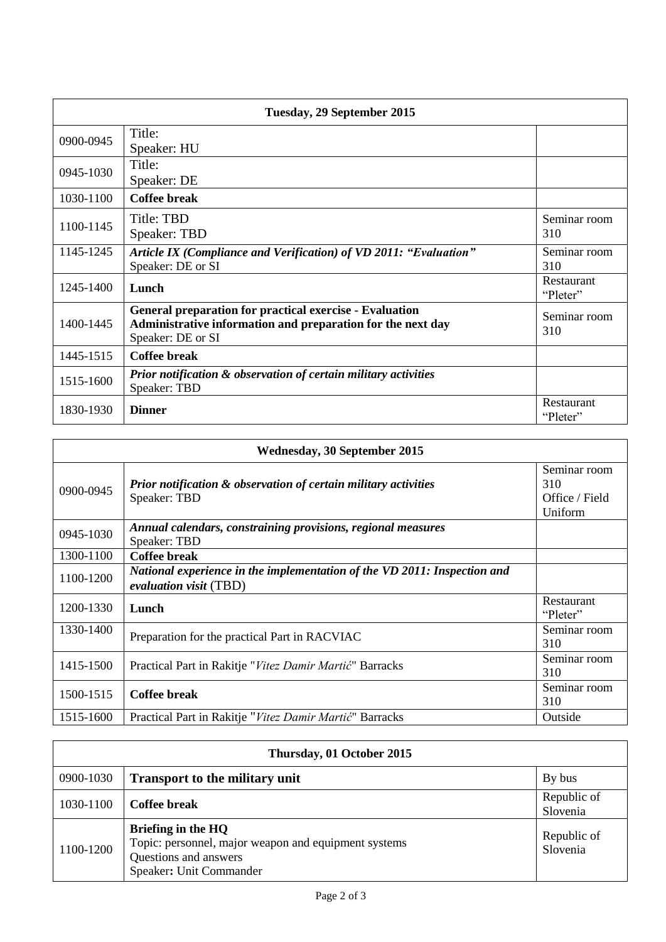| Tuesday, 29 September 2015 |                                                                                                                                                    |                        |
|----------------------------|----------------------------------------------------------------------------------------------------------------------------------------------------|------------------------|
| 0900-0945                  | Title:<br>Speaker: HU                                                                                                                              |                        |
| 0945-1030                  | Title:<br>Speaker: DE                                                                                                                              |                        |
| 1030-1100                  | <b>Coffee break</b>                                                                                                                                |                        |
| 1100-1145                  | Title: TBD<br>Speaker: TBD                                                                                                                         | Seminar room<br>310    |
| 1145-1245                  | Article IX (Compliance and Verification) of VD 2011: "Evaluation"<br>Speaker: DE or SI                                                             | Seminar room<br>310    |
| 1245-1400                  | Lunch                                                                                                                                              | Restaurant<br>"Pleter" |
| 1400-1445                  | <b>General preparation for practical exercise - Evaluation</b><br>Administrative information and preparation for the next day<br>Speaker: DE or SI | Seminar room<br>310    |
| 1445-1515                  | <b>Coffee break</b>                                                                                                                                |                        |
| 1515-1600                  | Prior notification & observation of certain military activities<br>Speaker: TBD                                                                    |                        |
| 1830-1930                  | <b>Dinner</b>                                                                                                                                      | Restaurant<br>"Pleter" |

| Wednesday, 30 September 2015 |                                                                                                           |                                                  |
|------------------------------|-----------------------------------------------------------------------------------------------------------|--------------------------------------------------|
| 0900-0945                    | <b>Prior notification &amp; observation of certain military activities</b><br>Speaker: TBD                | Seminar room<br>310<br>Office / Field<br>Uniform |
| 0945-1030                    | Annual calendars, constraining provisions, regional measures<br>Speaker: TBD                              |                                                  |
| 1300-1100                    | Coffee break                                                                                              |                                                  |
| 1100-1200                    | National experience in the implementation of the VD 2011: Inspection and<br><i>evaluation visit</i> (TBD) |                                                  |
| 1200-1330                    | Lunch                                                                                                     | Restaurant<br>"Pleter"                           |
| 1330-1400                    | Preparation for the practical Part in RACVIAC                                                             | Seminar room<br>310                              |
| 1415-1500                    | Practical Part in Rakitje "Vitez Damir Martić" Barracks                                                   | Seminar room<br>310                              |
| 1500-1515                    | Coffee break                                                                                              | Seminar room<br>310                              |
| 1515-1600                    | Practical Part in Rakitje "Vitez Damir Martić" Barracks                                                   | Outside                                          |

| Thursday, 01 October 2015 |                                                                                                                                |                         |
|---------------------------|--------------------------------------------------------------------------------------------------------------------------------|-------------------------|
| 0900-1030                 | <b>Transport to the military unit</b>                                                                                          | By bus                  |
| 1030-1100                 | Coffee break                                                                                                                   | Republic of<br>Slovenia |
| 1100-1200                 | Briefing in the HQ<br>Topic: personnel, major weapon and equipment systems<br>Questions and answers<br>Speaker: Unit Commander | Republic of<br>Slovenia |